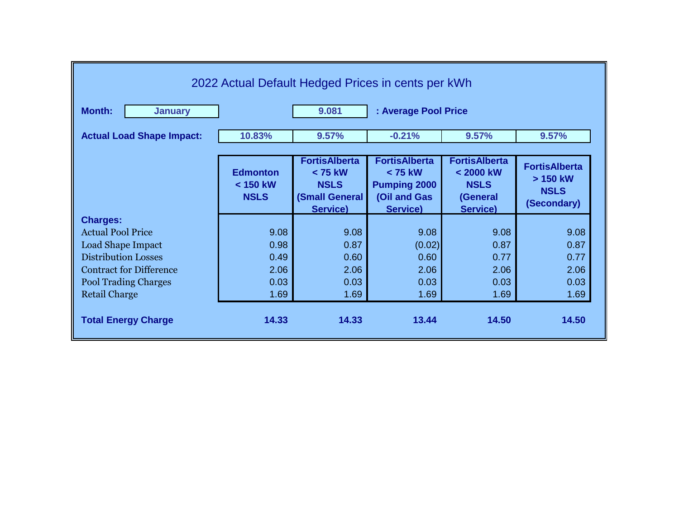| 2022 Actual Default Hedged Prices in cents per kWh |                                            |                                                                                       |                                                                                    |                                                                                   |                                                                |  |
|----------------------------------------------------|--------------------------------------------|---------------------------------------------------------------------------------------|------------------------------------------------------------------------------------|-----------------------------------------------------------------------------------|----------------------------------------------------------------|--|
| <b>Month:</b><br><b>January</b>                    | 9.081<br>: Average Pool Price              |                                                                                       |                                                                                    |                                                                                   |                                                                |  |
| <b>Actual Load Shape Impact:</b>                   | 10.83%                                     | 9.57%                                                                                 | $-0.21%$                                                                           | 9.57%                                                                             | 9.57%                                                          |  |
|                                                    | <b>Edmonton</b><br>< 150 kW<br><b>NSLS</b> | <b>FortisAlberta</b><br>$< 75$ kW<br><b>NSLS</b><br><b>(Small General</b><br>Service) | <b>FortisAlberta</b><br>< 75 kW<br><b>Pumping 2000</b><br>(Oil and Gas<br>Service) | <b>FortisAlberta</b><br>$< 2000$ kW<br><b>NSLS</b><br>(General<br><b>Service)</b> | <b>FortisAlberta</b><br>> 150 kW<br><b>NSLS</b><br>(Secondary) |  |
| <b>Charges:</b>                                    |                                            |                                                                                       |                                                                                    |                                                                                   |                                                                |  |
| <b>Actual Pool Price</b>                           | 9.08                                       | 9.08                                                                                  | 9.08                                                                               | 9.08                                                                              | 9.08                                                           |  |
| Load Shape Impact                                  | 0.98                                       | 0.87                                                                                  | (0.02)                                                                             | 0.87                                                                              | 0.87                                                           |  |
| <b>Distribution Losses</b>                         | 0.49                                       | 0.60                                                                                  | 0.60                                                                               | 0.77                                                                              | 0.77                                                           |  |
| <b>Contract for Difference</b>                     | 2.06                                       | 2.06                                                                                  | 2.06                                                                               | 2.06                                                                              | 2.06                                                           |  |
| <b>Pool Trading Charges</b>                        | 0.03                                       | 0.03                                                                                  | 0.03                                                                               | 0.03                                                                              | 0.03                                                           |  |
| <b>Retail Charge</b>                               | 1.69                                       | 1.69                                                                                  | 1.69                                                                               | 1.69                                                                              | 1.69                                                           |  |
| <b>Total Energy Charge</b>                         | 14.33                                      | 14.33                                                                                 | 13.44                                                                              | 14.50                                                                             | 14.50                                                          |  |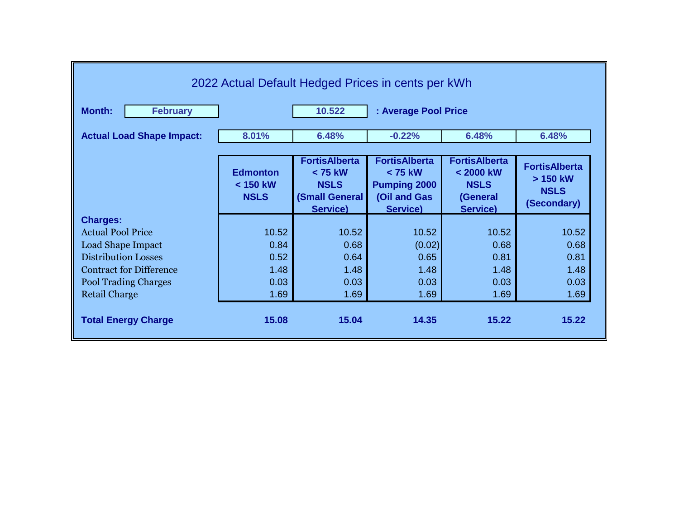| 2022 Actual Default Hedged Prices in cents per kWh                                                                  |                                              |                                                                              |                                                                                           |                                                                                   |                                                                  |  |
|---------------------------------------------------------------------------------------------------------------------|----------------------------------------------|------------------------------------------------------------------------------|-------------------------------------------------------------------------------------------|-----------------------------------------------------------------------------------|------------------------------------------------------------------|--|
| <b>Month:</b><br><b>February</b>                                                                                    | 10.522<br>: Average Pool Price               |                                                                              |                                                                                           |                                                                                   |                                                                  |  |
| <b>Actual Load Shape Impact:</b>                                                                                    | 8.01%                                        | 6.48%                                                                        | $-0.22%$                                                                                  | 6.48%                                                                             | 6.48%                                                            |  |
|                                                                                                                     | <b>Edmonton</b><br>$<$ 150 kW<br><b>NSLS</b> | <b>FortisAlberta</b><br>< 75 kW<br><b>NSLS</b><br>(Small General<br>Service) | <b>FortisAlberta</b><br>< 75 kW<br><b>Pumping 2000</b><br>(Oil and Gas<br><b>Service)</b> | <b>FortisAlberta</b><br>$< 2000$ kW<br><b>NSLS</b><br>(General<br><b>Service)</b> | <b>FortisAlberta</b><br>$> 150$ kW<br><b>NSLS</b><br>(Secondary) |  |
| <b>Charges:</b><br><b>Actual Pool Price</b><br>Load Shape Impact                                                    | 10.52<br>0.84                                | 10.52<br>0.68                                                                | 10.52<br>(0.02)                                                                           | 10.52<br>0.68                                                                     | 10.52<br>0.68                                                    |  |
| <b>Distribution Losses</b><br><b>Contract for Difference</b><br><b>Pool Trading Charges</b><br><b>Retail Charge</b> | 0.52<br>1.48<br>0.03<br>1.69                 | 0.64<br>1.48<br>0.03<br>1.69                                                 | 0.65<br>1.48<br>0.03<br>1.69                                                              | 0.81<br>1.48<br>0.03<br>1.69                                                      | 0.81<br>1.48<br>0.03<br>1.69                                     |  |
| <b>Total Energy Charge</b>                                                                                          | 15.08                                        | 15.04                                                                        | 14.35                                                                                     | 15.22                                                                             | 15.22                                                            |  |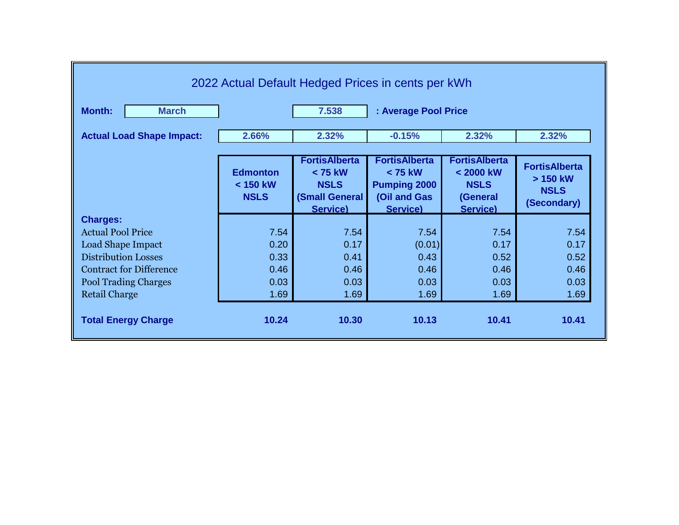| 2022 Actual Default Hedged Prices in cents per kWh |                                              |                                                                                |                                                                                             |                                                                                   |                                                                  |  |
|----------------------------------------------------|----------------------------------------------|--------------------------------------------------------------------------------|---------------------------------------------------------------------------------------------|-----------------------------------------------------------------------------------|------------------------------------------------------------------|--|
| Month:<br><b>March</b>                             | 7.538<br>: Average Pool Price                |                                                                                |                                                                                             |                                                                                   |                                                                  |  |
| <b>Actual Load Shape Impact:</b>                   | 2.66%                                        | 2.32%                                                                          | $-0.15%$                                                                                    | 2.32%                                                                             | 2.32%                                                            |  |
|                                                    |                                              |                                                                                |                                                                                             |                                                                                   |                                                                  |  |
|                                                    | <b>Edmonton</b><br>$<$ 150 kW<br><b>NSLS</b> | <b>FortisAlberta</b><br>$< 75$ kW<br><b>NSLS</b><br>(Small General<br>Service) | <b>FortisAlberta</b><br>$< 75$ kW<br><b>Pumping 2000</b><br>(Oil and Gas<br><b>Service)</b> | <b>FortisAlberta</b><br>$< 2000$ kW<br><b>NSLS</b><br>(General<br><b>Service)</b> | <b>FortisAlberta</b><br>$> 150$ kW<br><b>NSLS</b><br>(Secondary) |  |
| <b>Charges:</b>                                    |                                              |                                                                                |                                                                                             |                                                                                   |                                                                  |  |
| <b>Actual Pool Price</b>                           | 7.54                                         | 7.54                                                                           | 7.54                                                                                        | 7.54                                                                              | 7.54                                                             |  |
| <b>Load Shape Impact</b>                           | 0.20                                         | 0.17                                                                           | (0.01)                                                                                      | 0.17                                                                              | 0.17                                                             |  |
| <b>Distribution Losses</b>                         | 0.33                                         | 0.41                                                                           | 0.43                                                                                        | 0.52                                                                              | 0.52                                                             |  |
| <b>Contract for Difference</b>                     | 0.46                                         | 0.46                                                                           | 0.46                                                                                        | 0.46                                                                              | 0.46                                                             |  |
| <b>Pool Trading Charges</b>                        | 0.03                                         | 0.03                                                                           | 0.03                                                                                        | 0.03                                                                              | 0.03                                                             |  |
| <b>Retail Charge</b>                               | 1.69                                         | 1.69                                                                           | 1.69                                                                                        | 1.69                                                                              | 1.69                                                             |  |
| <b>Total Energy Charge</b>                         | 10.24                                        | 10.30                                                                          | 10.13                                                                                       | 10.41                                                                             | 10.41                                                            |  |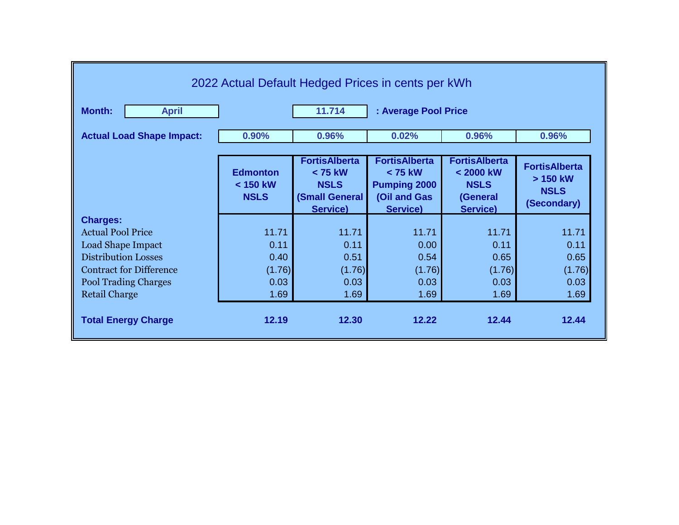| 2022 Actual Default Hedged Prices in cents per kWh |                                              |                                                                              |                                                                                             |                                                                                 |                                                                |  |
|----------------------------------------------------|----------------------------------------------|------------------------------------------------------------------------------|---------------------------------------------------------------------------------------------|---------------------------------------------------------------------------------|----------------------------------------------------------------|--|
| <b>Month:</b><br><b>April</b>                      | 11.714<br>: Average Pool Price               |                                                                              |                                                                                             |                                                                                 |                                                                |  |
| <b>Actual Load Shape Impact:</b>                   | 0.90%                                        | 0.96%                                                                        | 0.02%                                                                                       | 0.96%                                                                           | 0.96%                                                          |  |
|                                                    |                                              |                                                                              |                                                                                             |                                                                                 |                                                                |  |
|                                                    | <b>Edmonton</b><br>$< 150$ kW<br><b>NSLS</b> | <b>FortisAlberta</b><br>< 75 kW<br><b>NSLS</b><br>(Small General<br>Service) | <b>FortisAlberta</b><br>$< 75$ kW<br><b>Pumping 2000</b><br>(Oil and Gas<br><b>Service)</b> | <b>FortisAlberta</b><br>< 2000 kW<br><b>NSLS</b><br>(General<br><b>Service)</b> | <b>FortisAlberta</b><br>> 150 kW<br><b>NSLS</b><br>(Secondary) |  |
| <b>Charges:</b>                                    |                                              |                                                                              |                                                                                             |                                                                                 |                                                                |  |
| <b>Actual Pool Price</b>                           | 11.71                                        | 11.71                                                                        | 11.71                                                                                       | 11.71                                                                           | 11.71                                                          |  |
| <b>Load Shape Impact</b>                           | 0.11                                         | 0.11                                                                         | 0.00                                                                                        | 0.11                                                                            | 0.11                                                           |  |
| <b>Distribution Losses</b>                         | 0.40                                         | 0.51                                                                         | 0.54                                                                                        | 0.65                                                                            | 0.65                                                           |  |
| <b>Contract for Difference</b>                     | (1.76)                                       | (1.76)                                                                       | (1.76)                                                                                      | (1.76)                                                                          | (1.76)                                                         |  |
| <b>Pool Trading Charges</b>                        | 0.03                                         | 0.03                                                                         | 0.03                                                                                        | 0.03                                                                            | 0.03                                                           |  |
| <b>Retail Charge</b>                               | 1.69                                         | 1.69                                                                         | 1.69                                                                                        | 1.69                                                                            | 1.69                                                           |  |
| <b>Total Energy Charge</b>                         | 12.19                                        | 12.30                                                                        | 12.22                                                                                       | 12.44                                                                           | 12.44                                                          |  |